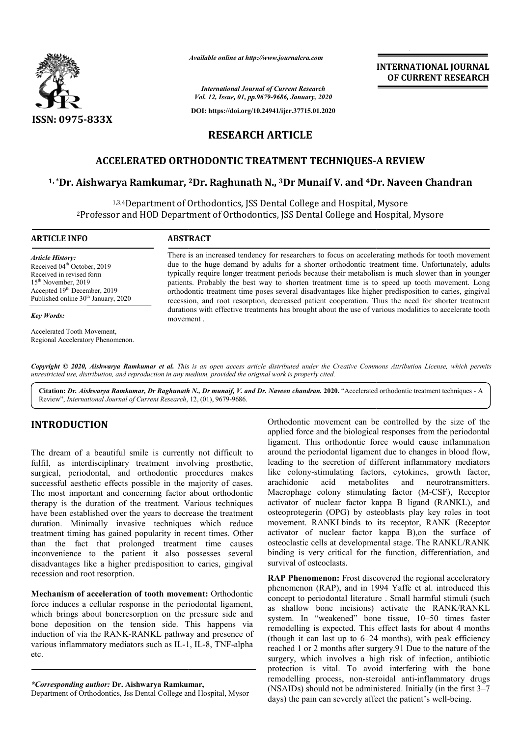

*Available online at http://www.journalcra.com*

*International Journal of Current Research Vol. 12, Issue, 01, pp.9679-9686, January, 2020*

**DOI: https://doi.org/10.24941/ijcr.37715.01.2020**

# **RESEARCH ARTICLE**

## **ACCELERATED ORTHODONTIC TREATMENT TECHNIQUES RTHODONTIC TECHNIQUES-A REVIEW**

# ACCELERATED ORTHODONTIC TREATMENT TECHNIQUES-A REVIEW<br><sup>1,</sup>\*Dr. Aishwarya Ramkumar, <sup>2</sup>Dr. Raghunath N., <sup>3</sup>Dr Munaif V. and <sup>4</sup>Dr. Naveen Chandran

1,3,4Department of Orthodontics, JSS Dental College and Hospital, Mysore <sup>2</sup>Professor and HOD Department of Orthodontics, JSS Dental College and Hospital, Mysore

#### **ARTICLE INFO ABSTRACT**

*Article History:* Received 04<sup>th</sup> October, 2019 Received in revised form 15th November, 2019 Accepted 19<sup>th</sup> December, 2019 Published online 30<sup>th</sup> January, 2020

#### *Key Words:*

Accelerated Tooth Movement, Regional Acceleratory Phenomenon.

There is an increased tendency for researchers to focus on accelerating methods for tooth movement due to the huge demand by adults for a shorter orthodontic treatment time. Unfortunately, adults typically require longer treatment periods because their metabolism is much slower than in younger There is an increased tendency for researchers to focus on accelerating methods for tooth movement due to the huge demand by adults for a shorter orthodontic treatment time. Unfortunately, adults typically require longer t orthodontic treatment time poses several disadvantages like higher predisposition to caries, gingival recession, and root resorption, decreased patient cooperation. Thus the need for shorter treatment durations with effective treatments has brought about the use of various modalities to accelerate tooth movement . orthodontic treatment time poses several disadvantages like higher predisposition to caries<br>recession, and root resorption, decreased patient cooperation. Thus the need for shorter<br>durations with effective treatments has b

Copyright © 2020, Aishwarya Ramkumar et al. This is an open access article distributed under the Creative Commons Attribution License, which permits *unrestricted use, distribution, and reproduction in any medium, provided the original work is properly cited.*

Citation: Dr. Aishwarya Ramkumar, Dr Raghunath N., Dr munaif, V. and Dr. Naveen chandran. 2020. "Accelerated orthodontic treatment techniques - A Review", *International Journal of Current Research*, 12, (01), 9679-9686.

# **INTRODUCTION**

The dream of a beautiful smile is currently not difficult to fulfil, as interdisciplinary treatment involving prosthetic, surgical, periodontal, and orthodontic procedures makes successful aesthetic effects possible in the majority of cases. The most important and concerning factor about orthodontic therapy is the duration of the treatment. Various techniques have been established over the years to decrease the treatment duration. Minimally invasive techniques which reduce have been established over the years to decrease the treatment<br>duration. Minimally invasive techniques which reduce<br>treatment timing has gained popularity in recent times. Other than the fact that prolonged treatment time causes inconvenience to the patient it also possesses several disadvantages like a higher predisposition to caries, gingival recession and root resorption.

**Mechanism of acceleration of tooth movement movement:** Orthodontic force induces a cellular response in the periodontal ligament, which brings about boneresorption on the pressure side and bone deposition on the tension side. This happens via induction of via the RANK-RANKL pathway and presence of various inflammatory mediators such as IL-1, IL-8, TNF-alpha etc. sorption on the pressure side and<br>tension side. This happens via<br>RANKL pathway and presence of<br>tors such as IL-1, IL-8, TNF-alpha

*\*Corresponding author:* **Dr. Aishwarya Ramkumar,** 

Department of Orthodontics, Jss Dental College and Hospital, Mysor

Orthodontic movement can be controlled by the size of the applied force and the biological responses from the periodontal ligament. This orthodontic force would cause inflammation around the periodontal ligament due to changes in blood flow, leading to the secretion of different inflammatory mediators like colony-stimulating factors, cytokines, growth factor, arachidonic acid metabolites and neurotransmitters. leading to the secretion of different inflammatory mediators<br>like colony-stimulating factors, cytokines, growth factor,<br>arachidonic acid metabolites and neurotransmitters.<br>Macrophage colony stimulating factor (M-CSF), Rece activator of nuclear factor kappa B ligand (RANKL), and osteoprotegerin (OPG) by osteoblasts play key roles in toot movement. RANKLbinds to its receptor, RANK (Receptor movement. RANKLbinds to its receptor, RANK (Receptor activator of nuclear factor kappa B),on the surface of osteoclastic cells at developmental stage. The RANKL/RANK binding is very critical for the function, differentiation, and survival of osteoclasts. the size of the from the periodontal<br>cause inflammation

**INTERNATIONAL JOURNAL OF CURRENT RESEARCH**

**RAP Phenomenon:** Frost discovered the regional acceleratory **RAP Phenomenon:** Frost discovered the regional acceleratory phenomenon (RAP), and in 1994 Yaffe et al. introduced this concept to periodontal literature . Small harmful stimuli (such as shallow bone incisions) activate the RANK/RANKL concept to periodontal literature . Small harmful stimuli (such as shallow bone incisions) activate the RANK/RANKL system. In "weakened" bone tissue, 10–50 times faster remodelling is expected. This effect lasts for about 4 months (though it can last up to  $6-24$  months), with peak efficiency reached 1 or 2 months after surgery.91 Due to the nature of the surgery, which involves a high risk of infection, antibiotic protection is vital. To avoid interfering with the bone remodelling process, non-steroidal anti (NSAIDs) should not be administered. Initially (in the first  $3-7$ days) the pain can severely affect the patient's well-being. can last up to 6–24 months), with peak efficiency<br>or 2 months after surgery 91 Due to the nature of the<br>which involves a high risk of infection, antibiotic<br>is vital. To avoid interfering with the bone<br>ng process, non-stero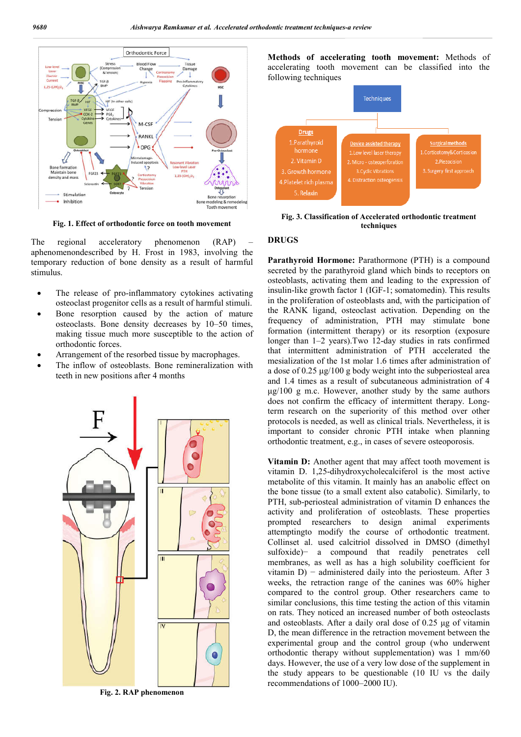

**Fig. 1. Effect of orthodontic force on tooth movement**

The regional acceleratory phenomenon (RAP) aphenomenondescribed by H. Frost in 1983, involving the temporary reduction of bone density as a result of harmful stimulus.

- The release of pro-inflammatory cytokines activating osteoclast progenitor cells as a result of harmful stimuli.
- Bone resorption caused by the action of mature osteoclasts. Bone density decreases by 10–50 times, making tissue much more susceptible to the action of orthodontic forces.
- Arrangement of the resorbed tissue by macrophages.
- The inflow of osteoblasts. Bone remineralization with teeth in new positions after 4 months



**Fig. 2. RAP phenomenon**

**Methods of accelerating tooth movement:** Methods of accelerating tooth movement can be classified into the following techniques



**Fig. 3. Classification of Accelerated orthodontic treatment techniques** 

#### **DRUGS**

**Parathyroid Hormone:** Parathormone (PTH) is a compound secreted by the parathyroid gland which binds to receptors on osteoblasts, activating them and leading to the expression of insulin-like growth factor 1 (IGF-1; somatomedin). This results in the proliferation of osteoblasts and, with the participation of the RANK ligand, osteoclast activation. Depending on the frequency of administration, PTH may stimulate bone formation (intermittent therapy) or its resorption (exposure longer than 1–2 years).Two 12-day studies in rats confirmed that intermittent administration of PTH accelerated the mesialization of the 1st molar 1.6 times after administration of a dose of 0.25 μg/100 g body weight into the subperiosteal area and 1.4 times as a result of subcutaneous administration of 4 μg/100 g m.c. However, another study by the same authors does not confirm the efficacy of intermittent therapy. Longterm research on the superiority of this method over other protocols is needed, as well as clinical trials. Nevertheless, it is important to consider chronic PTH intake when planning orthodontic treatment, e.g., in cases of severe osteoporosis.

**Vitamin D:** Another agent that may affect tooth movement is vitamin D. 1,25-dihydroxycholecalciferol is the most active metabolite of this vitamin. It mainly has an anabolic effect on the bone tissue (to a small extent also catabolic). Similarly, to PTH, sub-periosteal administration of vitamin D enhances the activity and proliferation of osteoblasts. These properties prompted researchers to design animal experiments attemptingto modify the course of orthodontic treatment. Collinset al. used calcitriol dissolved in DMSO (dimethyl sulfoxide)− a compound that readily penetrates cell membranes, as well as has a high solubility coefficient for vitamin D) − administered daily into the periosteum. After 3 weeks, the retraction range of the canines was 60% higher compared to the control group. Other researchers came to similar conclusions, this time testing the action of this vitamin on rats. They noticed an increased number of both osteoclasts and osteoblasts. After a daily oral dose of 0.25 μg of vitamin D, the mean difference in the retraction movement between the experimental group and the control group (who underwent orthodontic therapy without supplementation) was 1 mm/60 days. However, the use of a very low dose of the supplement in the study appears to be questionable (10 IU vs the daily recommendations of 1000–2000 IU).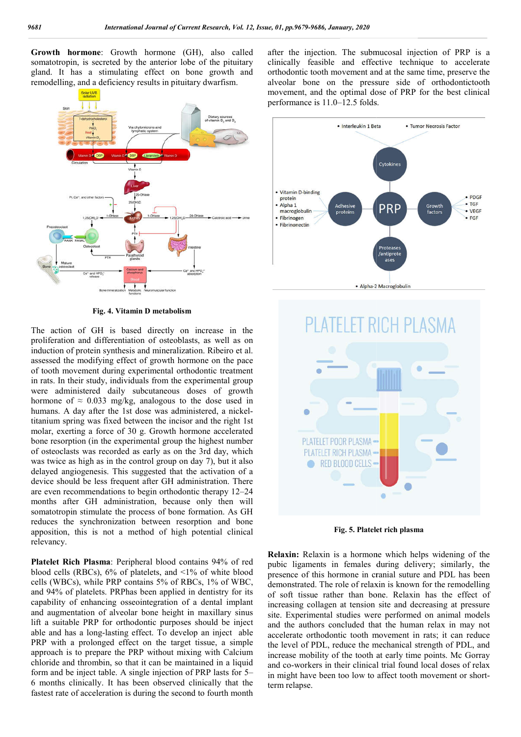**Growth hormone**: Growth hormone (GH), also called somatotropin, is secreted by the anterior lobe of the pituitary gland. It has a stimulating effect on bone growth and remodelling, and a deficiency results in pituitary dwarfism.



**Fig. 4. Vitamin D metabolism**

The action of GH is based directly on increase in the proliferation and differentiation of osteoblasts, as well as on induction of protein synthesis and mineralization. Ribeiro et al. assessed the modifying effect of growth hormone on the pace of tooth movement during experimental orthodontic treatment in rats. In their study, individuals from the experimental group were administered daily subcutaneous doses of growth hormone of  $\approx 0.033$  mg/kg, analogous to the dose used in humans. A day after the 1st dose was administered, a nickeltitanium spring was fixed between the incisor and the right 1st molar, exerting a force of 30 g. Growth hormone accelerated bone resorption (in the experimental group the highest number of osteoclasts was recorded as early as on the 3rd day, which was twice as high as in the control group on day 7), but it also delayed angiogenesis. This suggested that the activation of a device should be less frequent after GH administration. There are even recommendations to begin orthodontic therapy 12 12–24 months after GH administration, because only then will somatotropin stimulate the process of bone formation. As GH reduces the synchronization between resorption and bone apposition, this is not a method of high potential clinical relevancy.

**Platelet Rich Plasma**: Peripheral blood contains 94% of red blood cells (RBCs), 6% of platelets, and <1% of white blood cells (WBCs), while PRP contains 5% of RBCs, 1% of WBC, and 94% of platelets. PRPhas been applied in dentistry for its capability of enhancing osseointegration of a dental implant and augmentation of alveolar bone height in maxillary sinus lift a suitable PRP for orthodontic purposes should be inject able and has a long-lasting effect. To develop an inject PRP with a prolonged effect on the target tissue, a simple approach is to prepare the PRP without mixing with Calcium chloride and thrombin, so that it can be maintained in a liquid form and be inject table. A single injection of PRP lasts for 5 5– 6 months clinically. It has been observed clinically that the fastest rate of acceleration is during the second to fourth month tropin stimulate the process of bone formation. As GH<br>is the synchronization between resorption and bone<br>ion, this is not a method of high potential clinical<br>cy.<br>**t Rich Plasma**: Peripheral blood contains 94% of red<br>cells after the injection. The submucosal injection of PRP is a clinically feasible and effective technique to accelerate orthodontic tooth movement and at the same time, preserve the alveolar bone on the pressure side of orthodontictooth movement, and the optimal dose of PRP for the best clinical performance is 11.0–12.5 folds. njection. The submucosal injection of PRP is a<br>feasible and effective technique to accelerate<br>tooth movement and at the same time, preserve the<br>one on the pressure side of orthodontictooth<br>and the optimal dose of PRP for t





**Fig. 5. Platelet rich plasma plasma** 

**Relaxin:** Relaxin is a hormone which helps widening of the pubic ligaments in females during delivery; similarly, the presence of this hormone in cranial suture and PDL has been demonstrated. The role of relaxin is known for the remodelling of soft tissue rather than bone. Relaxin has the effect of increasing collagen at tension site and decreasing at pressure site. Experimental studies were performed on animal models and the authors concluded that the human relax in may not accelerate orthodontic tooth movement in rats; it can reduce the level of PDL, reduce the mechanical strength of PDL, and the level of PDL, reduce the mechanical strength of PDL, and increase mobility of the tooth at early time points. Mc Gorray and co-workers in their clinical trial found local doses of relax in might have been too low to affect tooth movement or shortterm relapse. **axin:** Relaxin is a hormone which helps widening of the idea idea in the females during delivery; similarly, the sence of this hormone in cranial suture and PDL has been nonstrated. The role of relaxin is known for the re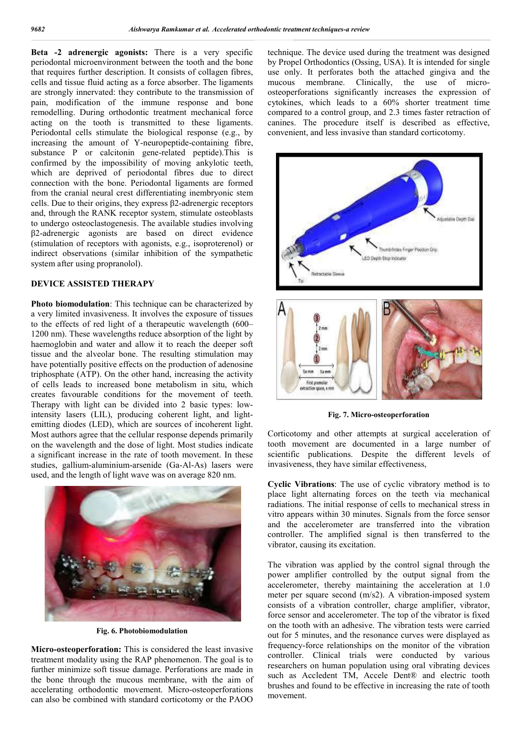**Beta -2 adrenergic agonists:** There is a very specific periodontal microenvironment between the tooth and the bone that requires further description. It consists of collagen fibres, cells and tissue fluid acting as a force absorber. The ligaments are strongly innervated: they contribute to the transmission of pain, modification of the immune response and bone remodelling. During orthodontic treatment mechanical force acting on the tooth is transmitted to these ligaments. Periodontal cells stimulate the biological response (e.g., by increasing the amount of Y-neuropeptide-containing fibre, substance P or calcitonin gene-related peptide).This is confirmed by the impossibility of moving ankylotic teeth, which are deprived of periodontal fibres due to direct connection with the bone. Periodontal ligaments are formed from the cranial neural crest differentiating inembryonic stem cells. Due to their origins, they express β2-adrenergic receptors and, through the RANK receptor system, stimulate osteoblasts to undergo osteoclastogenesis. The available studies involving β2-adrenergic agonists are based on direct evidence (stimulation of receptors with agonists, e.g., isoproterenol) or indirect observations (similar inhibition of the sympathetic system after using propranolol).

### **DEVICE ASSISTED THERAPY**

**Photo biomodulation**: This technique can be characterized by a very limited invasiveness. It involves the exposure of tissues to the effects of red light of a therapeutic wavelength (600– 1200 nm). These wavelengths reduce absorption of the light by haemoglobin and water and allow it to reach the deeper soft tissue and the alveolar bone. The resulting stimulation may have potentially positive effects on the production of adenosine triphosphate (ATP). On the other hand, increasing the activity of cells leads to increased bone metabolism in situ, which creates favourable conditions for the movement of teeth. Therapy with light can be divided into 2 basic types: lowintensity lasers (LIL), producing coherent light, and lightemitting diodes (LED), which are sources of incoherent light. Most authors agree that the cellular response depends primarily on the wavelength and the dose of light. Most studies indicate a significant increase in the rate of tooth movement. In these studies, gallium-aluminium-arsenide (Ga-Al-As) lasers were used, and the length of light wave was on average 820 nm.



**Fig. 6. Photobiomodulation**

**Micro-osteoperforation:** This is considered the least invasive treatment modality using the RAP phenomenon. The goal is to further minimize soft tissue damage. Perforations are made in the bone through the mucous membrane, with the aim of accelerating orthodontic movement. Micro-osteoperforations can also be combined with standard corticotomy or the PAOO

technique. The device used during the treatment was designed by Propel Orthodontics (Ossing, USA). It is intended for single use only. It perforates both the attached gingiva and the mucous membrane. Clinically, the use of microosteoperforations significantly increases the expression of cytokines, which leads to a 60% shorter treatment time compared to a control group, and 2.3 times faster retraction of canines. The procedure itself is described as effective, convenient, and less invasive than standard corticotomy.



**Fig. 7. Micro-osteoperforation**

Corticotomy and other attempts at surgical acceleration of tooth movement are documented in a large number of scientific publications. Despite the different levels of invasiveness, they have similar effectiveness,

**Cyclic Vibrations**: The use of cyclic vibratory method is to place light alternating forces on the teeth via mechanical radiations. The initial response of cells to mechanical stress in vitro appears within 30 minutes. Signals from the force sensor and the accelerometer are transferred into the vibration controller. The amplified signal is then transferred to the vibrator, causing its excitation.

The vibration was applied by the control signal through the power amplifier controlled by the output signal from the accelerometer, thereby maintaining the acceleration at 1.0 meter per square second (m/s2). A vibration-imposed system consists of a vibration controller, charge amplifier, vibrator, force sensor and accelerometer. The top of the vibrator is fixed on the tooth with an adhesive. The vibration tests were carried out for 5 minutes, and the resonance curves were displayed as frequency-force relationships on the monitor of the vibration controller. Clinical trials were conducted by various researchers on human population using oral vibrating devices such as Accledent TM, Accele Dent® and electric tooth brushes and found to be effective in increasing the rate of tooth movement.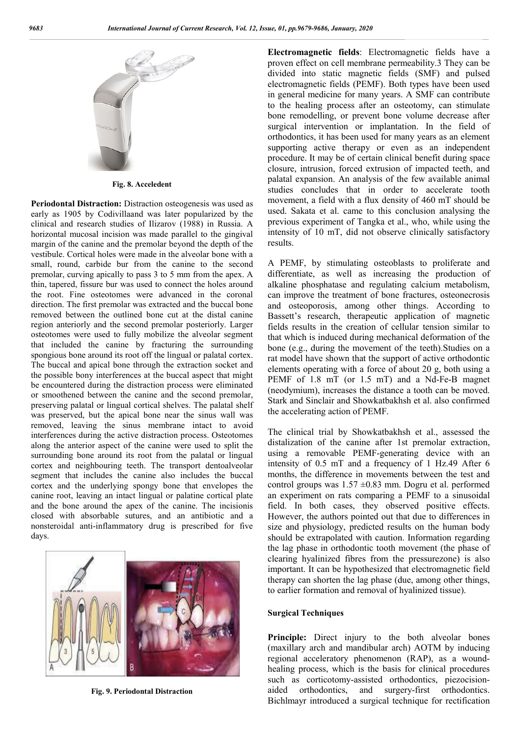

**Fig. 8. Acceledent** 

**Periodontal Distraction:** Distraction osteogenesis was used as early as 1905 by Codivillaand was later popularized by the clinical and research studies of Ilizarov (1988) in Russia. A horizontal mucosal incision was made parallel to the gingival margin of the canine and the premolar beyond the depth of the vestibule. Cortical holes were made in the alveolar bone with a small, round, carbide bur from the canine to the second premolar, curving apically to pass 3 to 5 mm from the apex. A thin, tapered, fissure bur was used to connect the holes around the root. Fine osteotomes were advanced in the coronal direction. The first premolar was extracted and the buccal bone removed between the outlined bone cut at the distal canine region anteriorly and the second premolar posteriorly. Larger osteotomes were used to fully mobilize the alveolar segment that included the canine by fracturing the surrounding spongious bone around its root off the lingual or palatal cortex. The buccal and apical bone through the extraction socket and the possible bony interferences at the buccal aspect that might be encountered during the distraction process were eliminated or smoothened between the canine and the second premolar, preserving palatal or lingual cortical shelves. The palatal shelf was preserved, but the apical bone near the sinus wall was removed, leaving the sinus membrane intact to avoid interferences during the active distraction process. Osteotomes along the anterior aspect of the canine were used to split the surrounding bone around its root from the palatal or lingual cortex and neighbouring teeth. The transport dentoalveolar segment that includes the canine also includes the buccal cortex and the underlying spongy bone that envelopes the canine root, leaving an intact lingual or palatine cortical plate and the bone around the apex of the canine. The incisionis closed with absorbable sutures, and an antibiotic and a nonsteroidal anti-inflammatory drug is prescribed for five days.



**Fig. 9. Periodontal Distraction** 

**Electromagnetic fields**: Electromagnetic fields have a proven effect on cell membrane permeability.3 They can be divided into static magnetic fields (SMF) and pulsed electromagnetic fields (PEMF). Both types have been used in general medicine for many years. A SMF can contribute to the healing process after an osteotomy, can stimulate bone remodelling, or prevent bone volume decrease after surgical intervention or implantation. In the field of orthodontics, it has been used for many years as an element supporting active therapy or even as an independent procedure. It may be of certain clinical benefit during space closure, intrusion, forced extrusion of impacted teeth, and palatal expansion. An analysis of the few available animal studies concludes that in order to accelerate tooth movement, a field with a flux density of 460 mT should be used. Sakata et al. came to this conclusion analysing the previous experiment of Tangka et al., who, while using the intensity of 10 mT, did not observe clinically satisfactory results.

A PEMF, by stimulating osteoblasts to proliferate and differentiate, as well as increasing the production of alkaline phosphatase and regulating calcium metabolism, can improve the treatment of bone fractures, osteonecrosis and osteoporosis, among other things. According to Bassett's research, therapeutic application of magnetic fields results in the creation of cellular tension similar to that which is induced during mechanical deformation of the bone (e.g., during the movement of the teeth).Studies on a rat model have shown that the support of active orthodontic elements operating with a force of about 20 g, both using a PEMF of 1.8 mT (or 1.5 mT) and a Nd-Fe-B magnet (neodymium), increases the distance a tooth can be moved. Stark and Sinclair and Showkatbakhsh et al. also confirmed the accelerating action of PEMF.

The clinical trial by Showkatbakhsh et al., assessed the distalization of the canine after 1st premolar extraction, using a removable PEMF-generating device with an intensity of 0.5 mT and a frequency of 1 Hz.49 After 6 months, the difference in movements between the test and control groups was  $1.57 \pm 0.83$  mm. Dogru et al. performed an experiment on rats comparing a PEMF to a sinusoidal field. In both cases, they observed positive effects. However, the authors pointed out that due to differences in size and physiology, predicted results on the human body should be extrapolated with caution. Information regarding the lag phase in orthodontic tooth movement (the phase of clearing hyalinized fibres from the pressurezone) is also important. It can be hypothesized that electromagnetic field therapy can shorten the lag phase (due, among other things, to earlier formation and removal of hyalinized tissue).

#### **Surgical Techniques**

**Principle:** Direct injury to the both alveolar bones (maxillary arch and mandibular arch) AOTM by inducing regional acceleratory phenomenon (RAP), as a woundhealing process, which is the basis for clinical procedures such as corticotomy-assisted orthodontics, piezocisionaided orthodontics, and surgery-first orthodontics. Bichlmayr introduced a surgical technique for rectification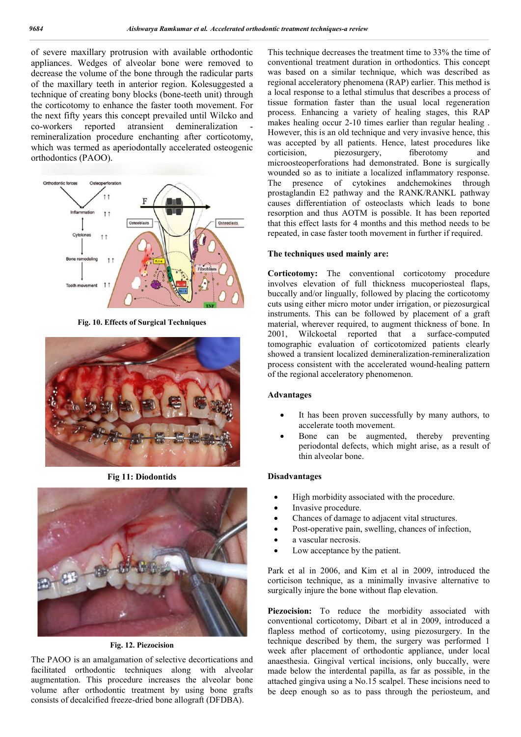of severe maxillary protrusion with available orthodontic appliances. Wedges of alveolar bone were removed to decrease the volume of the bone through the radicular parts of the maxillary teeth in anterior region. Kolesuggested a technique of creating bony blocks (bone-teeth unit) through the corticotomy to enhance the faster tooth movement. For the next fifty years this concept prevailed until Wilcko and co-workers reported atransient demineralization remineralization procedure enchanting after corticotomy, which was termed as aperiodontally accelerated osteogenic orthodontics (PAOO).



**Fig. 10. Effects of Surgical Techniques** 



**Fig 11: Diodontids**



**Fig. 12. Piezocision**

The PAOO is an amalgamation of selective decortications and facilitated orthodontic techniques along with alveolar augmentation. This procedure increases the alveolar bone volume after orthodontic treatment by using bone grafts consists of decalcified freeze-dried bone allograft (DFDBA).

This technique decreases the treatment time to 33% the time of conventional treatment duration in orthodontics. This concept was based on a similar technique, which was described as regional acceleratory phenomena (RAP) earlier. This method is a local response to a lethal stimulus that describes a process of tissue formation faster than the usual local regeneration process. Enhancing a variety of healing stages, this RAP makes healing occur 2-10 times earlier than regular healing . However, this is an old technique and very invasive hence, this was accepted by all patients. Hence, latest procedures like corticision, piezosurgery, fiberotomy and corticision, piezosurgery, fiberotomy and microosteoperforations had demonstrated. Bone is surgically wounded so as to initiate a localized inflammatory response. The presence of cytokines andchemokines through prostaglandin E2 pathway and the RANK/RANKL pathway causes differentiation of osteoclasts which leads to bone resorption and thus AOTM is possible. It has been reported that this effect lasts for 4 months and this method needs to be repeated, in case faster tooth movement in further if required.

#### **The techniques used mainly are:**

**Corticotomy:** The conventional corticotomy procedure involves elevation of full thickness mucoperiosteal flaps, buccally and/or lingually, followed by placing the corticotomy cuts using either micro motor under irrigation, or piezosurgical instruments. This can be followed by placement of a graft material, wherever required, to augment thickness of bone. In 2001, Wilckoetal reported that a surface-computed tomographic evaluation of corticotomized patients clearly showed a transient localized demineralization-remineralization process consistent with the accelerated wound-healing pattern of the regional acceleratory phenomenon.

#### **Advantages**

- It has been proven successfully by many authors, to accelerate tooth movement.
- Bone can be augmented, thereby preventing periodontal defects, which might arise, as a result of thin alveolar bone.

#### **Disadvantages**

- High morbidity associated with the procedure.
- Invasive procedure.
- Chances of damage to adjacent vital structures.
- Post-operative pain, swelling, chances of infection,
- a vascular necrosis.
- Low acceptance by the patient.

Park et al in 2006, and Kim et al in 2009, introduced the corticison technique, as a minimally invasive alternative to surgically injure the bone without flap elevation.

Piezocision: To reduce the morbidity associated with conventional corticotomy, Dibart et al in 2009, introduced a flapless method of corticotomy, using piezosurgery. In the technique described by them, the surgery was performed 1 week after placement of orthodontic appliance, under local anaesthesia. Gingival vertical incisions, only buccally, were made below the interdental papilla, as far as possible, in the attached gingiva using a No.15 scalpel. These incisions need to be deep enough so as to pass through the periosteum, and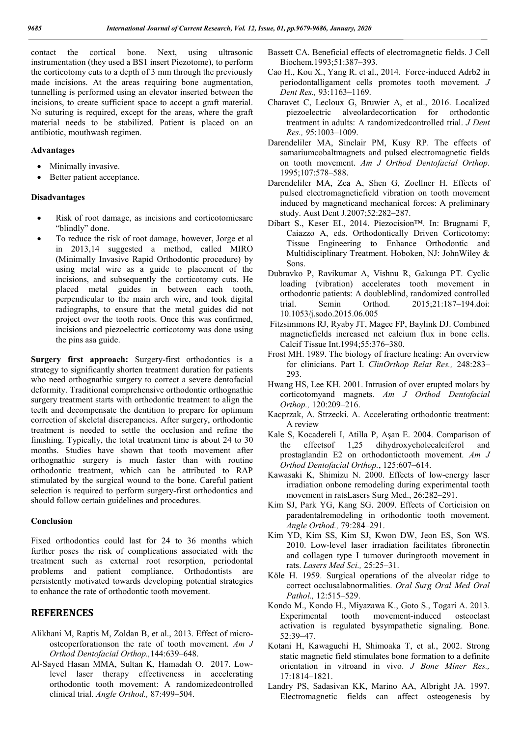contact the cortical bone. Next, using ultrasonic instrumentation (they used a BS1 insert Piezotome), to perform the corticotomy cuts to a depth of 3 mm through the previously made incisions. At the areas requiring bone augmentation, tunnelling is performed using an elevator inserted between the incisions, to create sufficient space to accept a graft material. No suturing is required, except for the areas, where the graft material needs to be stabilized. Patient is placed on an antibiotic, mouthwash regimen.

#### **Advantages**

- Minimally invasive.
- Better patient acceptance.

#### **Disadvantages**

- Risk of root damage, as incisions and corticotomiesare "blindly" done.
- To reduce the risk of root damage, however, Jorge et al in 2013,14 suggested a method, called MIRO (Minimally Invasive Rapid Orthodontic procedure) by using metal wire as a guide to placement of the incisions, and subsequently the corticotomy cuts. He placed metal guides in between each tooth, perpendicular to the main arch wire, and took digital radiographs, to ensure that the metal guides did not project over the tooth roots. Once this was confirmed, incisions and piezoelectric corticotomy was done using the pins asa guide.

**Surgery first approach:** Surgery-first orthodontics is a strategy to significantly shorten treatment duration for patients who need orthognathic surgery to correct a severe dentofacial deformity. Traditional comprehensive orthodontic orthognathic surgery treatment starts with orthodontic treatment to align the teeth and decompensate the dentition to prepare for optimum correction of skeletal discrepancies. After surgery, orthodontic treatment is needed to settle the occlusion and refine the finishing. Typically, the total treatment time is about 24 to 30 months. Studies have shown that tooth movement after orthognathic surgery is much faster than with routine orthodontic treatment, which can be attributed to RAP stimulated by the surgical wound to the bone. Careful patient selection is required to perform surgery-first orthodontics and should follow certain guidelines and procedures.

#### **Conclusion**

Fixed orthodontics could last for 24 to 36 months which further poses the risk of complications associated with the treatment such as external root resorption, periodontal problems and patient compliance. Orthodontists are persistently motivated towards developing potential strategies to enhance the rate of orthodontic tooth movement.

### **REFERENCES**

- Alikhani M, Raptis M, Zoldan B, et al., 2013. Effect of microosteoperforationson the rate of tooth movement. *Am J Orthod Dentofacial Orthop.,*144:639–648.
- Al-Sayed Hasan MMA, Sultan K, Hamadah O. 2017. Lowlevel laser therapy effectiveness in accelerating orthodontic tooth movement: A randomizedcontrolled clinical trial. *Angle Orthod.,* 87:499–504.
- Bassett CA. Beneficial effects of electromagnetic fields. J Cell Biochem.1993;51:387–393.
- Cao H., Kou X., Yang R. et al., 2014. Force-induced Adrb2 in periodontalligament cells promotes tooth movement. *J Dent Res.,* 93:1163–1169.
- Charavet C, Lecloux G, Bruwier A, et al., 2016. Localized piezoelectric alveolardecortication for orthodontic treatment in adults: A randomizedcontrolled trial. *J Dent Res., 9*5:1003–1009.
- Darendeliler MA, Sinclair PM, Kusy RP. The effects of samariumcobaltmagnets and pulsed electromagnetic fields on tooth movement. *Am J Orthod Dentofacial Orthop*. 1995;107:578–588.
- Darendeliler MA, Zea A, Shen G, Zoellner H. Effects of pulsed electromagneticfield vibration on tooth movement induced by magneticand mechanical forces: A preliminary study. Aust Dent J.2007;52:282–287.
- Dibart S., Keser EI., 2014. Piezocision™. In: Brugnami F, Caiazzo A, eds. Orthodontically Driven Corticotomy: Tissue Engineering to Enhance Orthodontic and Multidisciplinary Treatment. Hoboken, NJ: JohnWiley & Sons.
- Dubravko P, Ravikumar A, Vishnu R, Gakunga PT. Cyclic loading (vibration) accelerates tooth movement in orthodontic patients: A doubleblind, randomized controlled<br>trial. Semin Orthod. 2015;21:187-194.doi: trial. Semin Orthod. 2015;21:187–194.doi: 10.1053/j.sodo.2015.06.005
- Fitzsimmons RJ, Ryaby JT, Magee FP, Baylink DJ. Combined magneticfields increased net calcium flux in bone cells. Calcif Tissue Int.1994;55:376–380.
- Frost MH. 1989. The biology of fracture healing: An overview for clinicians. Part I. *ClinOrthop Relat Res.,* 248:283– 293.
- Hwang HS, Lee KH. 2001. Intrusion of over erupted molars by corticotomyand magnets. *Am J Orthod Dentofacial Orthop.,* 120:209–216.
- Kacprzak, A. Strzecki. A. Accelerating orthodontic treatment: A review
- Kale S, Kocadereli I, Atilla P, Aşan E. 2004. Comparison of the effectsof 1,25 dihydroxycholecalciferol and prostaglandin E2 on orthodontictooth movement. *Am J Orthod Dentofacial Orthop.*, 125:607–614.
- Kawasaki K, Shimizu N. 2000. Effects of low-energy laser irradiation onbone remodeling during experimental tooth movement in ratsLasers Surg Med., 26:282–291.
- Kim SJ, Park YG, Kang SG. 2009. Effects of Corticision on paradentalremodeling in orthodontic tooth movement. *Angle Orthod.,* 79:284–291.
- Kim YD, Kim SS, Kim SJ, Kwon DW, Jeon ES, Son WS. 2010. Low-level laser irradiation facilitates fibronectin and collagen type I turnover duringtooth movement in rats. *Lasers Med Sci.,* 25:25–31.
- Köle H. 1959. Surgical operations of the alveolar ridge to correct occlusalabnormalities. *Oral Surg Oral Med Oral Pathol.,* 12:515–529.
- Kondo M., Kondo H., Miyazawa K., Goto S., Togari A. 2013. Experimental tooth movement-induced osteoclast activation is regulated bysympathetic signaling. Bone. 52:39–47.
- Kotani H, Kawaguchi H, Shimoaka T, et al., 2002. Strong static magnetic field stimulates bone formation to a definite orientation in vitroand in vivo. *J Bone Miner Res.,* 17:1814–1821.
- Landry PS, Sadasivan KK, Marino AA, Albright JA. 1997. Electromagnetic fields can affect osteogenesis by